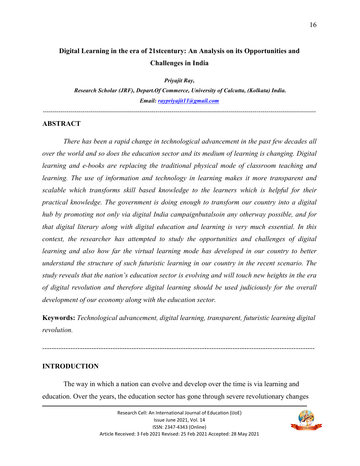# **Digital Learning in the era of 21stcentury: An Analysis on its Opportunities and Challenges in India**

*Priyajit Ray,* 

 *Research Scholar (JRF), Depart.Of Commerce, University of Calcutta, (Kolkata) India. Email: raypriyajit11@gmail.com*

------------------------------------------------------------------------------------------------------------------------------------------

#### **ABSTRACT**

 *There has been a rapid change in technological advancement in the past few decades all over the world and so does the education sector and its medium of learning is changing. Digital learning and e-books are replacing the traditional physical mode of classroom teaching and learning. The use of information and technology in learning makes it more transparent and scalable which transforms skill based knowledge to the learners which is helpful for their practical knowledge. The government is doing enough to transform our country into a digital hub by promoting not only via digital India campaignbutalsoin any otherway possible, and for that digital literary along with digital education and learning is very much essential. In this context, the researcher has attempted to study the opportunities and challenges of digital learning and also how far the virtual learning mode has developed in our country to better understand the structure of such futuristic learning in our country in the recent scenario. The study reveals that the nation's education sector is evolving and will touch new heights in the era of digital revolution and therefore digital learning should be used judiciously for the overall development of our economy along with the education sector.* 

**Keywords:** *Technological advancement, digital learning, transparent, futuristic learning digital revolution.* 

*--------------------------------------------------------------------------------------------------------------------* 

### **INTRODUCTION**

The way in which a nation can evolve and develop over the time is via learning and education. Over the years, the education sector has gone through severe revolutionary changes

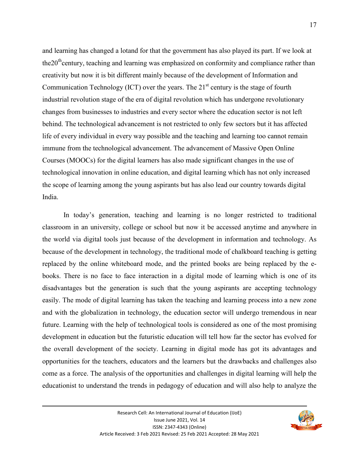and learning has changed a lotand for that the government has also played its part. If we look at the  $20<sup>th</sup>$  century, teaching and learning was emphasized on conformity and compliance rather than creativity but now it is bit different mainly because of the development of Information and Communication Technology (ICT) over the years. The  $21<sup>st</sup>$  century is the stage of fourth industrial revolution stage of the era of digital revolution which has undergone revolutionary changes from businesses to industries and every sector where the education sector is not left behind. The technological advancement is not restricted to only few sectors but it has affected life of every individual in every way possible and the teaching and learning too cannot remain immune from the technological advancement. The advancement of Massive Open Online Courses (MOOCs) for the digital learners has also made significant changes in the use of technological innovation in online education, and digital learning which has not only increased the scope of learning among the young aspirants but has also lead our country towards digital India.

 In today's generation, teaching and learning is no longer restricted to traditional classroom in an university, college or school but now it be accessed anytime and anywhere in the world via digital tools just because of the development in information and technology. As because of the development in technology, the traditional mode of chalkboard teaching is getting replaced by the online whiteboard mode, and the printed books are being replaced by the ebooks. There is no face to face interaction in a digital mode of learning which is one of its disadvantages but the generation is such that the young aspirants are accepting technology easily. The mode of digital learning has taken the teaching and learning process into a new zone and with the globalization in technology, the education sector will undergo tremendous in near future. Learning with the help of technological tools is considered as one of the most promising development in education but the futuristic education will tell how far the sector has evolved for the overall development of the society. Learning in digital mode has got its advantages and opportunities for the teachers, educators and the learners but the drawbacks and challenges also come as a force. The analysis of the opportunities and challenges in digital learning will help the educationist to understand the trends in pedagogy of education and will also help to analyze the

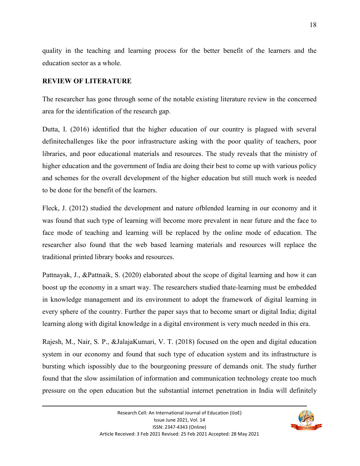quality in the teaching and learning process for the better benefit of the learners and the education sector as a whole.

### **REVIEW OF LITERATURE**

The researcher has gone through some of the notable existing literature review in the concerned area for the identification of the research gap.

Dutta, I. (2016) identified that the higher education of our country is plagued with several definitechallenges like the poor infrastructure asking with the poor quality of teachers, poor libraries, and poor educational materials and resources. The study reveals that the ministry of higher education and the government of India are doing their best to come up with various policy and schemes for the overall development of the higher education but still much work is needed to be done for the benefit of the learners.

Fleck, J. (2012) studied the development and nature ofblended learning in our economy and it was found that such type of learning will become more prevalent in near future and the face to face mode of teaching and learning will be replaced by the online mode of education. The researcher also found that the web based learning materials and resources will replace the traditional printed library books and resources.

Pattnayak, J., &Pattnaik, S. (2020) elaborated about the scope of digital learning and how it can boost up the economy in a smart way. The researchers studied thate-learning must be embedded in knowledge management and its environment to adopt the framework of digital learning in every sphere of the country. Further the paper says that to become smart or digital India; digital learning along with digital knowledge in a digital environment is very much needed in this era.

Rajesh, M., Nair, S. P., &JalajaKumari, V. T. (2018) focused on the open and digital education system in our economy and found that such type of education system and its infrastructure is bursting which ispossibly due to the bourgeoning pressure of demands onit. The study further found that the slow assimilation of information and communication technology create too much pressure on the open education but the substantial internet penetration in India will definitely

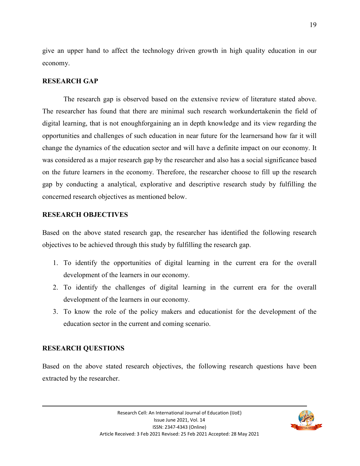give an upper hand to affect the technology driven growth in high quality education in our economy.

### **RESEARCH GAP**

 The research gap is observed based on the extensive review of literature stated above. The researcher has found that there are minimal such research workundertakenin the field of digital learning, that is not enoughforgaining an in depth knowledge and its view regarding the opportunities and challenges of such education in near future for the learnersand how far it will change the dynamics of the education sector and will have a definite impact on our economy. It was considered as a major research gap by the researcher and also has a social significance based on the future learners in the economy. Therefore, the researcher choose to fill up the research gap by conducting a analytical, explorative and descriptive research study by fulfilling the concerned research objectives as mentioned below.

#### **RESEARCH OBJECTIVES**

Based on the above stated research gap, the researcher has identified the following research objectives to be achieved through this study by fulfilling the research gap.

- 1. To identify the opportunities of digital learning in the current era for the overall development of the learners in our economy.
- 2. To identify the challenges of digital learning in the current era for the overall development of the learners in our economy.
- 3. To know the role of the policy makers and educationist for the development of the education sector in the current and coming scenario.

#### **RESEARCH QUESTIONS**

Based on the above stated research objectives, the following research questions have been extracted by the researcher.

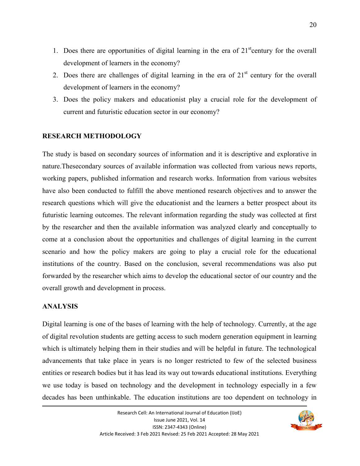- 1. Does there are opportunities of digital learning in the era of  $21<sup>st</sup>$  century for the overall development of learners in the economy?
- 2. Does there are challenges of digital learning in the era of  $21<sup>st</sup>$  century for the overall development of learners in the economy?
- 3. Does the policy makers and educationist play a crucial role for the development of current and futuristic education sector in our economy?

### **RESEARCH METHODOLOGY**

The study is based on secondary sources of information and it is descriptive and explorative in nature.Thesecondary sources of available information was collected from various news reports, working papers, published information and research works. Information from various websites have also been conducted to fulfill the above mentioned research objectives and to answer the research questions which will give the educationist and the learners a better prospect about its futuristic learning outcomes. The relevant information regarding the study was collected at first by the researcher and then the available information was analyzed clearly and conceptually to come at a conclusion about the opportunities and challenges of digital learning in the current scenario and how the policy makers are going to play a crucial role for the educational institutions of the country. Based on the conclusion, several recommendations was also put forwarded by the researcher which aims to develop the educational sector of our country and the overall growth and development in process.

### **ANALYSIS**

Digital learning is one of the bases of learning with the help of technology. Currently, at the age of digital revolution students are getting access to such modern generation equipment in learning which is ultimately helping them in their studies and will be helpful in future. The technological advancements that take place in years is no longer restricted to few of the selected business entities or research bodies but it has lead its way out towards educational institutions. Everything we use today is based on technology and the development in technology especially in a few decades has been unthinkable. The education institutions are too dependent on technology in

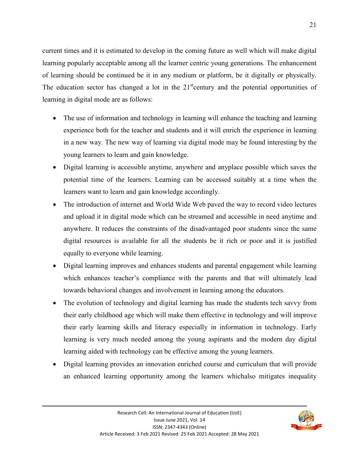current times and it is estimated to develop in the coming future as well which will make digital learning popularly acceptable among all the learner centric young generations. The enhancement of learning should be continued be it in any medium or platform, be it digitally or physically. The education sector has changed a lot in the  $21<sup>st</sup>$ century and the potential opportunities of learning in digital mode are as follows:

- The use of information and technology in learning will enhance the teaching and learning experience both for the teacher and students and it will enrich the experience in learning in a new way. The new way of learning via digital mode may be found interesting by the young learners to learn and gain knowledge.
- Digital learning is accessible anytime, anywhere and anyplace possible which saves the potential time of the learners. Learning can be accessed suitably at a time when the learners want to learn and gain knowledge accordingly.
- The introduction of internet and World Wide Web paved the way to record video lectures and upload it in digital mode which can be streamed and accessible in need anytime and anywhere. It reduces the constraints of the disadvantaged poor students since the same digital resources is available for all the students be it rich or poor and it is justified equally to everyone while learning.
- Digital learning improves and enhances students and parental engagement while learning which enhances teacher's compliance with the parents and that will ultimately lead towards behavioral changes and involvement in learning among the educators.
- The evolution of technology and digital learning has made the students tech savvy from their early childhood age which will make them effective in technology and will improve their early learning skills and literacy especially in information in technology. Early learning is very much needed among the young aspirants and the modern day digital learning aided with technology can be effective among the young learners.
- Digital learning provides an innovation enriched course and curriculum that will provide an enhanced learning opportunity among the learners whichalso mitigates inequality

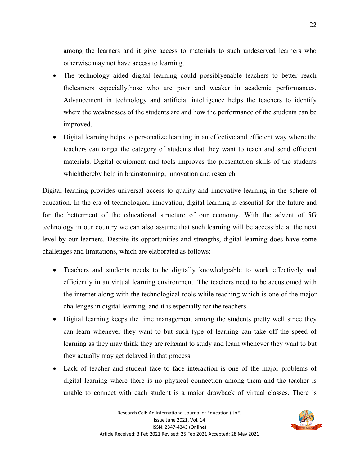among the learners and it give access to materials to such undeserved learners who otherwise may not have access to learning.

- The technology aided digital learning could possiblyenable teachers to better reach thelearners especiallythose who are poor and weaker in academic performances. Advancement in technology and artificial intelligence helps the teachers to identify where the weaknesses of the students are and how the performance of the students can be improved.
- Digital learning helps to personalize learning in an effective and efficient way where the teachers can target the category of students that they want to teach and send efficient materials. Digital equipment and tools improves the presentation skills of the students whichthereby help in brainstorming, innovation and research.

Digital learning provides universal access to quality and innovative learning in the sphere of education. In the era of technological innovation, digital learning is essential for the future and for the betterment of the educational structure of our economy. With the advent of 5G technology in our country we can also assume that such learning will be accessible at the next level by our learners. Despite its opportunities and strengths, digital learning does have some challenges and limitations, which are elaborated as follows:

- Teachers and students needs to be digitally knowledgeable to work effectively and efficiently in an virtual learning environment. The teachers need to be accustomed with the internet along with the technological tools while teaching which is one of the major challenges in digital learning, and it is especially for the teachers.
- Digital learning keeps the time management among the students pretty well since they can learn whenever they want to but such type of learning can take off the speed of learning as they may think they are relaxant to study and learn whenever they want to but they actually may get delayed in that process.
- Lack of teacher and student face to face interaction is one of the major problems of digital learning where there is no physical connection among them and the teacher is unable to connect with each student is a major drawback of virtual classes. There is

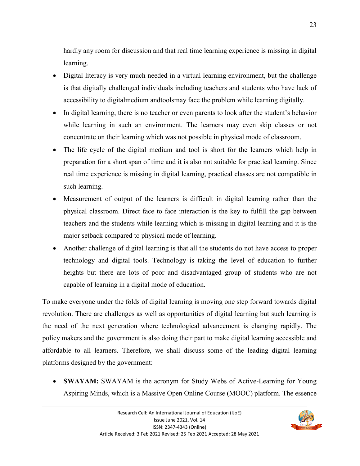hardly any room for discussion and that real time learning experience is missing in digital learning.

- Digital literacy is very much needed in a virtual learning environment, but the challenge is that digitally challenged individuals including teachers and students who have lack of accessibility to digitalmedium andtoolsmay face the problem while learning digitally.
- In digital learning, there is no teacher or even parents to look after the student's behavior while learning in such an environment. The learners may even skip classes or not concentrate on their learning which was not possible in physical mode of classroom.
- The life cycle of the digital medium and tool is short for the learners which help in preparation for a short span of time and it is also not suitable for practical learning. Since real time experience is missing in digital learning, practical classes are not compatible in such learning.
- Measurement of output of the learners is difficult in digital learning rather than the physical classroom. Direct face to face interaction is the key to fulfill the gap between teachers and the students while learning which is missing in digital learning and it is the major setback compared to physical mode of learning.
- Another challenge of digital learning is that all the students do not have access to proper technology and digital tools. Technology is taking the level of education to further heights but there are lots of poor and disadvantaged group of students who are not capable of learning in a digital mode of education.

To make everyone under the folds of digital learning is moving one step forward towards digital revolution. There are challenges as well as opportunities of digital learning but such learning is the need of the next generation where technological advancement is changing rapidly. The policy makers and the government is also doing their part to make digital learning accessible and affordable to all learners. Therefore, we shall discuss some of the leading digital learning platforms designed by the government:

 **SWAYAM:** SWAYAM is the acronym for Study Webs of Active-Learning for Young Aspiring Minds, which is a Massive Open Online Course (MOOC) platform. The essence

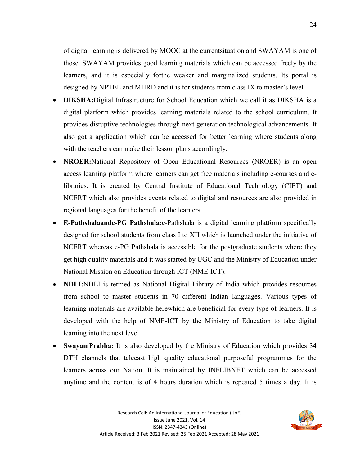of digital learning is delivered by MOOC at the currentsituation and SWAYAM is one of those. SWAYAM provides good learning materials which can be accessed freely by the learners, and it is especially forthe weaker and marginalized students. Its portal is designed by NPTEL and MHRD and it is for students from class IX to master's level.

- **DIKSHA:**Digital Infrastructure for School Education which we call it as DIKSHA is a digital platform which provides learning materials related to the school curriculum. It provides disruptive technologies through next generation technological advancements. It also got a application which can be accessed for better learning where students along with the teachers can make their lesson plans accordingly.
- **NROER:**National Repository of Open Educational Resources (NROER) is an open access learning platform where learners can get free materials including e-courses and elibraries. It is created by Central Institute of Educational Technology (CIET) and NCERT which also provides events related to digital and resources are also provided in regional languages for the benefit of the learners.
- **E-Pathshalaande-PG Pathshala:**e-Pathshala is a digital learning platform specifically designed for school students from class I to XII which is launched under the initiative of NCERT whereas e-PG Pathshala is accessible for the postgraduate students where they get high quality materials and it was started by UGC and the Ministry of Education under National Mission on Education through ICT (NME-ICT).
- **NDLI:**NDLI is termed as National Digital Library of India which provides resources from school to master students in 70 different Indian languages. Various types of learning materials are available herewhich are beneficial for every type of learners. It is developed with the help of NME-ICT by the Ministry of Education to take digital learning into the next level.
- **SwayamPrabha:** It is also developed by the Ministry of Education which provides 34 DTH channels that telecast high quality educational purposeful programmes for the learners across our Nation. It is maintained by INFLIBNET which can be accessed anytime and the content is of 4 hours duration which is repeated 5 times a day. It is

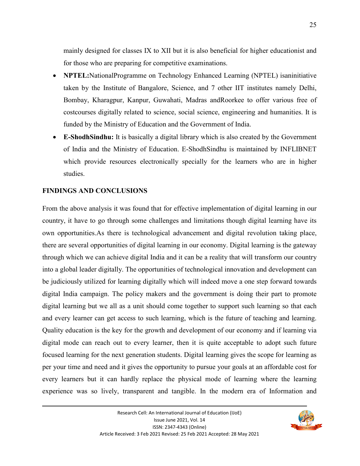mainly designed for classes IX to XII but it is also beneficial for higher educationist and for those who are preparing for competitive examinations.

- **NPTEL:**NationalProgramme on Technology Enhanced Learning (NPTEL) isaninitiative taken by the Institute of Bangalore, Science, and 7 other IIT institutes namely Delhi, Bombay, Kharagpur, Kanpur, Guwahati, Madras andRoorkee to offer various free of costcourses digitally related to science, social science, engineering and humanities. It is funded by the Ministry of Education and the Government of India.
- **E-ShodhSindhu:** It is basically a digital library which is also created by the Government of India and the Ministry of Education. E-ShodhSindhu is maintained by INFLIBNET which provide resources electronically specially for the learners who are in higher studies.

### **FINDINGS AND CONCLUSIONS**

From the above analysis it was found that for effective implementation of digital learning in our country, it have to go through some challenges and limitations though digital learning have its own opportunities.As there is technological advancement and digital revolution taking place, there are several opportunities of digital learning in our economy. Digital learning is the gateway through which we can achieve digital India and it can be a reality that will transform our country into a global leader digitally. The opportunities of technological innovation and development can be judiciously utilized for learning digitally which will indeed move a one step forward towards digital India campaign. The policy makers and the government is doing their part to promote digital learning but we all as a unit should come together to support such learning so that each and every learner can get access to such learning, which is the future of teaching and learning. Quality education is the key for the growth and development of our economy and if learning via digital mode can reach out to every learner, then it is quite acceptable to adopt such future focused learning for the next generation students. Digital learning gives the scope for learning as per your time and need and it gives the opportunity to pursue your goals at an affordable cost for every learners but it can hardly replace the physical mode of learning where the learning experience was so lively, transparent and tangible. In the modern era of Information and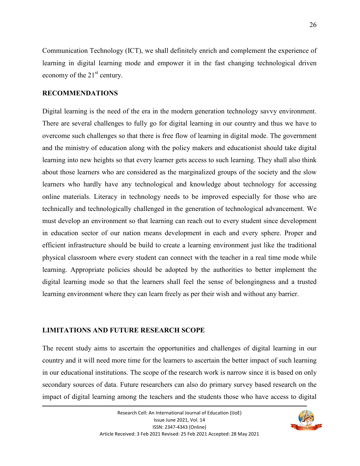Communication Technology (ICT), we shall definitely enrich and complement the experience of learning in digital learning mode and empower it in the fast changing technological driven economy of the  $21<sup>st</sup>$  century.

#### **RECOMMENDATIONS**

Digital learning is the need of the era in the modern generation technology savvy environment. There are several challenges to fully go for digital learning in our country and thus we have to overcome such challenges so that there is free flow of learning in digital mode. The government and the ministry of education along with the policy makers and educationist should take digital learning into new heights so that every learner gets access to such learning. They shall also think about those learners who are considered as the marginalized groups of the society and the slow learners who hardly have any technological and knowledge about technology for accessing online materials. Literacy in technology needs to be improved especially for those who are technically and technologically challenged in the generation of technological advancement. We must develop an environment so that learning can reach out to every student since development in education sector of our nation means development in each and every sphere. Proper and efficient infrastructure should be build to create a learning environment just like the traditional physical classroom where every student can connect with the teacher in a real time mode while learning. Appropriate policies should be adopted by the authorities to better implement the digital learning mode so that the learners shall feel the sense of belongingness and a trusted learning environment where they can learn freely as per their wish and without any barrier.

#### **LIMITATIONS AND FUTURE RESEARCH SCOPE**

The recent study aims to ascertain the opportunities and challenges of digital learning in our country and it will need more time for the learners to ascertain the better impact of such learning in our educational institutions. The scope of the research work is narrow since it is based on only secondary sources of data. Future researchers can also do primary survey based research on the impact of digital learning among the teachers and the students those who have access to digital

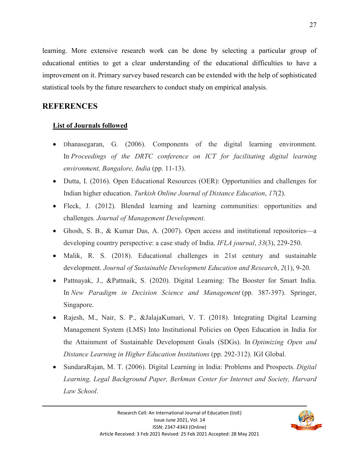learning. More extensive research work can be done by selecting a particular group of educational entities to get a clear understanding of the educational difficulties to have a improvement on it. Primary survey based research can be extended with the help of sophisticated statistical tools by the future researchers to conduct study on empirical analysis.

## **REFERENCES**

### **List of Journals followed**

- Dhanasegaran, G. (2006). Components of the digital learning environment. In *Proceedings of the DRTC conference on ICT for facilitating digital learning environment, Bangalore, India* (pp. 11-13).
- Dutta, I. (2016). Open Educational Resources (OER): Opportunities and challenges for Indian higher education. *Turkish Online Journal of Distance Education*, *17*(2).
- Fleck, J. (2012). Blended learning and learning communities: opportunities and challenges. *Journal of Management Development*.
- Ghosh, S. B., & Kumar Das, A. (2007). Open access and institutional repositories—a developing country perspective: a case study of India. *IFLA journal*, *33*(3), 229-250.
- Malik, R. S. (2018). Educational challenges in 21st century and sustainable development. *Journal of Sustainable Development Education and Research*, *2*(1), 9-20.
- Pattnayak, J., &Pattnaik, S. (2020). Digital Learning: The Booster for Smart India. In *New Paradigm in Decision Science and Management* (pp. 387-397). Springer, Singapore.
- Rajesh, M., Nair, S. P., &JalajaKumari, V. T. (2018). Integrating Digital Learning Management System (LMS) Into Institutional Policies on Open Education in India for the Attainment of Sustainable Development Goals (SDGs). In *Optimizing Open and Distance Learning in Higher Education Institutions* (pp. 292-312). IGI Global.
- SundaraRajan, M. T. (2006). Digital Learning in India: Problems and Prospects. *Digital Learning, Legal Background Paper, Berkman Center for Internet and Society, Harvard Law School*.